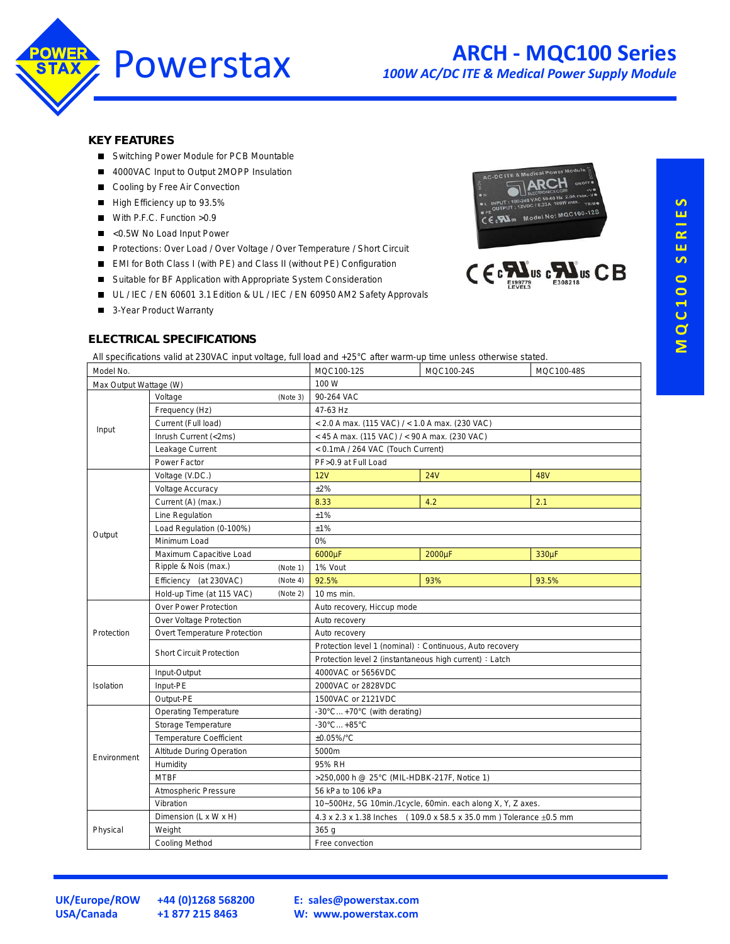

## **ARCH - MQC100 Series**

*100W AC/DC ITE & Medical Power Supply Module*

#### **KEY FEATURES**

- Switching Power Module for PCB Mountable
- 4000VAC Input to Output 2MOPP Insulation
- Cooling by Free Air Convection
- High Efficiency up to 93.5%
- With P.F.C. Function > 0.9
- <0.5W No Load Input Power
- Protections: Over Load / Over Voltage / Over Temperature / Short Circuit
- EMI for Both Class I (with PE) and Class II (without PE) Configuration
- Suitable for BF Application with Appropriate System Consideration
- UL / IEC / EN 60601 3.1 Edition & UL / IEC / EN 60950 AM2 Safety Approvals
- 3-Year Product Warranty

# MQC100-125



#### **ELECTRICAL SPECIFICATIONS**

All specifications valid at 230VAC input voltage, full load and +25°C after warm-up time unless otherwise stated.

| Model No.              |                                  |          | MQC100-12S                                                         | MQC100-24S | MQC100-48S |  |  |
|------------------------|----------------------------------|----------|--------------------------------------------------------------------|------------|------------|--|--|
| Max Output Wattage (W) |                                  |          | 100 W                                                              |            |            |  |  |
| Input                  | Voltage<br>(Note 3)              |          | 90-264 VAC                                                         |            |            |  |  |
|                        | Frequency (Hz)                   |          | 47-63 Hz                                                           |            |            |  |  |
|                        | Current (Full load)              |          | < 2.0 A max. (115 VAC) / < 1.0 A max. (230 VAC)                    |            |            |  |  |
|                        | Inrush Current (<2ms)            |          | $<$ 45 A max. (115 VAC) / $<$ 90 A max. (230 VAC)                  |            |            |  |  |
|                        | Leakage Current                  |          | < 0.1mA / 264 VAC (Touch Current)                                  |            |            |  |  |
|                        | Power Factor                     |          | PF>0.9 at Full Load                                                |            |            |  |  |
|                        | Voltage (V.DC.)                  |          | 12V                                                                | <b>24V</b> | <b>48V</b> |  |  |
|                        | <b>Voltage Accuracy</b>          |          | ±2%                                                                |            |            |  |  |
|                        | Current (A) (max.)               |          | 8.33                                                               | 4.2        | 2.1        |  |  |
|                        | Line Regulation                  |          | ±1%                                                                |            |            |  |  |
|                        | Load Regulation (0-100%)         |          | ±1%                                                                |            |            |  |  |
| Output                 | Minimum Load                     |          | 0%                                                                 |            |            |  |  |
|                        | Maximum Capacitive Load          |          | 6000µF                                                             | 2000µF     | 330µF      |  |  |
|                        | Ripple & Nois (max.)             | (Note 1) | 1% Vout                                                            |            |            |  |  |
|                        | Efficiency (at 230VAC)           | (Note 4) | 92.5%                                                              | 93%        | 93.5%      |  |  |
|                        | Hold-up Time (at 115 VAC)        | (Note 2) | 10 ms min.                                                         |            |            |  |  |
|                        | <b>Over Power Protection</b>     |          | Auto recovery, Hiccup mode                                         |            |            |  |  |
|                        | Over Voltage Protection          |          | Auto recovery                                                      |            |            |  |  |
| Protection             | Overt Temperature Protection     |          | Auto recovery                                                      |            |            |  |  |
|                        | <b>Short Circuit Protection</b>  |          | Protection level 1 (nominal) : Continuous, Auto recovery           |            |            |  |  |
|                        |                                  |          | Protection level 2 (instantaneous high current) : Latch            |            |            |  |  |
|                        | Input-Output                     |          | 4000VAC or 5656VDC                                                 |            |            |  |  |
| Isolation              | Input-PE                         |          | 2000VAC or 2828VDC                                                 |            |            |  |  |
|                        | Output-PE                        |          | 1500VAC or 2121VDC                                                 |            |            |  |  |
|                        | <b>Operating Temperature</b>     |          | -30°C+70°C (with derating)                                         |            |            |  |  |
|                        | Storage Temperature              |          | $-30^{\circ}$ C +85 $^{\circ}$ C                                   |            |            |  |  |
|                        | <b>Temperature Coefficient</b>   |          | $±0.05\%$ <sup>°</sup> C                                           |            |            |  |  |
| Environment            | <b>Altitude During Operation</b> |          | 5000m                                                              |            |            |  |  |
|                        | Humidity                         |          | 95% RH                                                             |            |            |  |  |
|                        | <b>MTBF</b>                      |          | >250,000 h @ 25°C (MIL-HDBK-217F, Notice 1)                        |            |            |  |  |
|                        | Atmospheric Pressure             |          | 56 kPa to 106 kPa                                                  |            |            |  |  |
|                        | Vibration                        |          | 10~500Hz, 5G 10min./1cycle, 60min. each along X, Y, Z axes.        |            |            |  |  |
| Physical               | Dimension (L x W x H)            |          | 4.3 x 2.3 x 1.38 Inches (109.0 x 58.5 x 35.0 mm) Tolerance ±0.5 mm |            |            |  |  |
|                        | Weight                           |          | 365 g                                                              |            |            |  |  |
|                        | <b>Cooling Method</b>            |          | Free convection                                                    |            |            |  |  |

**USA/Canada +1 877 215 8463**

**UK/Europe/ROW +44 (0)1268 568200**

**E: [sales@powerstax.com](mailto:sales%40powerstax.com?subject=MQC100) W: [www.powerstax.com](http://www.powerstax.com)**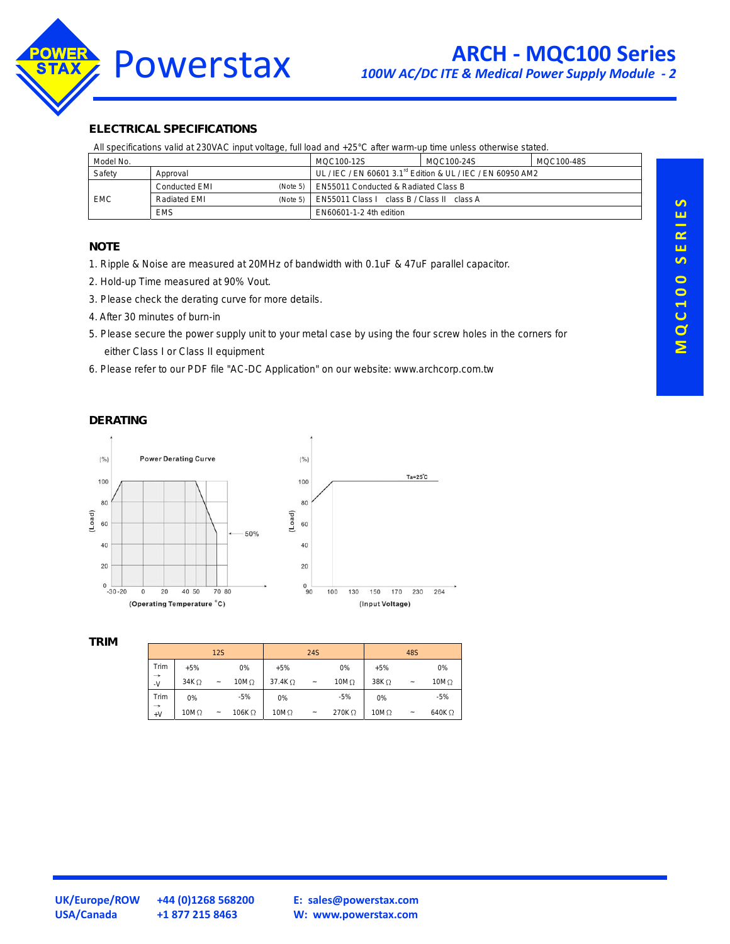

#### **ELECTRICAL SPECIFICATIONS**

All specifications valid at 230VAC input voltage, full load and +25°C after warm-up time unless otherwise stated.

| Model No.  |                      |          | MQC100-12S                                                              | MQC100-24S | MQC100-48S |  |
|------------|----------------------|----------|-------------------------------------------------------------------------|------------|------------|--|
| Safety     | Approval             |          | UL / IEC / EN 60601 3.1 <sup>rd</sup> Edition & UL / IEC / EN 60950 AM2 |            |            |  |
| <b>EMC</b> | <b>Conducted EMI</b> | (Note 5) | EN55011 Conducted & Radiated Class B                                    |            |            |  |
|            | Radiated EMI         | (Note 5) | EN55011 Class I class B / Class II class A                              |            |            |  |
|            | <b>EMS</b>           |          | EN60601-1-2 4th edition                                                 |            |            |  |

#### **NOTE**

1. Ripple & Noise are measured at 20MHz of bandwidth with 0.1uF & 47uF parallel capacitor.

- 2. Hold-up Time measured at 90% Vout.
- 3. Please check the derating curve for more details.
- 4. After 30 minutes of burn-in
- 5. Please secure the power supply unit to your metal case by using the four screw holes in the corners for either Class I or Class II equipment
- 6. Please refer to our PDF file "AC-DC Application" on our website: www.archcorp.com.tw

#### **DERATING**



#### **TRIM**

|                         |                  | <b>12S</b>                |               |                | <b>24S</b>            |              |              | 48S                       |               |
|-------------------------|------------------|---------------------------|---------------|----------------|-----------------------|--------------|--------------|---------------------------|---------------|
| Trim                    | $+5%$            |                           | 0%            | $+5%$          |                       | 0%           | $+5%$        |                           | 0%            |
| $\rightarrow$<br>$\sim$ | 34K <sub>2</sub> | $\widetilde{\phantom{m}}$ | 10M $\Omega$  | 37.4K $\Omega$ | $\tilde{}$            | 10M $\Omega$ | $38K\Omega$  | $\tilde{}$                | $10M\Omega$   |
| Trim                    | 0%               |                           | $-5%$         | 0%             |                       | $-5%$        | 0%           |                           | $-5%$         |
| $\rightarrow$<br>$+V$   | 10M $\Omega$     | $\widetilde{\phantom{m}}$ | 106K $\Omega$ | $10M\Omega$    | $\tilde{\phantom{a}}$ | 270KQ        | 10M $\Omega$ | $\widetilde{\phantom{m}}$ | 640 $K\Omega$ |

**UK/Europe/ROW +44 (0)1268 568200**

**E: [sales@powerstax.com](mailto:sales%40powerstax.com?subject=MQC100) W: [www.powerstax.com](http://www.powerstax.com)**